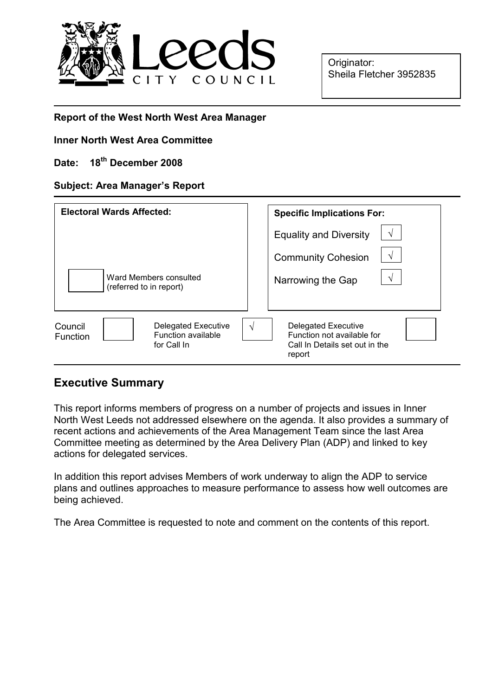

Originator: Sheila Fletcher 3952835

### Report of the West North West Area Manager

### Inner North West Area Committee

# Date: 18<sup>th</sup> December 2008

### Subject: Area Manager's Report

| <b>Electoral Wards Affected:</b>                                                       | <b>Specific Implications For:</b>                                                                         |
|----------------------------------------------------------------------------------------|-----------------------------------------------------------------------------------------------------------|
|                                                                                        | <b>Equality and Diversity</b><br>$\sqrt{}$                                                                |
|                                                                                        | V<br><b>Community Cohesion</b>                                                                            |
| Ward Members consulted<br>(referred to in report)                                      | V<br>Narrowing the Gap                                                                                    |
| Delegated Executive<br>Council<br><b>Function available</b><br>Function<br>for Call In | <b>Delegated Executive</b><br>N<br>Function not available for<br>Call In Details set out in the<br>report |

# Executive Summary

This report informs members of progress on a number of projects and issues in Inner North West Leeds not addressed elsewhere on the agenda. It also provides a summary of recent actions and achievements of the Area Management Team since the last Area Committee meeting as determined by the Area Delivery Plan (ADP) and linked to key actions for delegated services.

In addition this report advises Members of work underway to align the ADP to service plans and outlines approaches to measure performance to assess how well outcomes are being achieved.

The Area Committee is requested to note and comment on the contents of this report.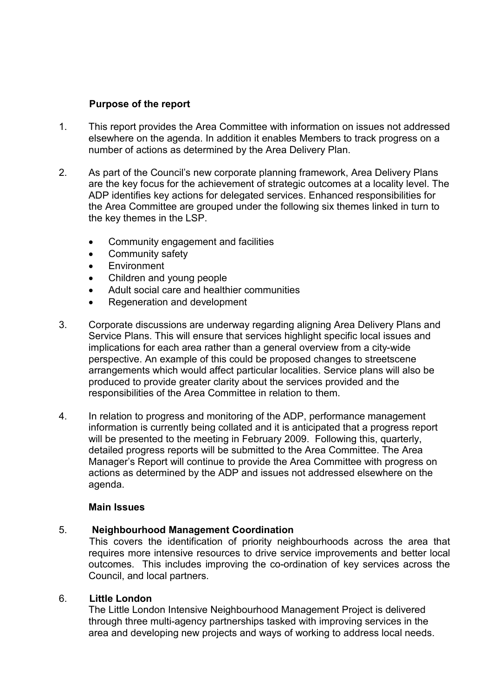# Purpose of the report

- 1. This report provides the Area Committee with information on issues not addressed elsewhere on the agenda. In addition it enables Members to track progress on a number of actions as determined by the Area Delivery Plan.
- 2. As part of the Council's new corporate planning framework, Area Delivery Plans are the key focus for the achievement of strategic outcomes at a locality level. The ADP identifies key actions for delegated services. Enhanced responsibilities for the Area Committee are grouped under the following six themes linked in turn to the key themes in the LSP.
	- Community engagement and facilities
	- Community safety
	- Environment
	- Children and young people
	- Adult social care and healthier communities
	- Regeneration and development
- 3. Corporate discussions are underway regarding aligning Area Delivery Plans and Service Plans. This will ensure that services highlight specific local issues and implications for each area rather than a general overview from a city-wide perspective. An example of this could be proposed changes to streetscene arrangements which would affect particular localities. Service plans will also be produced to provide greater clarity about the services provided and the responsibilities of the Area Committee in relation to them.
- 4. In relation to progress and monitoring of the ADP, performance management information is currently being collated and it is anticipated that a progress report will be presented to the meeting in February 2009. Following this, quarterly, detailed progress reports will be submitted to the Area Committee. The Area Manager's Report will continue to provide the Area Committee with progress on actions as determined by the ADP and issues not addressed elsewhere on the agenda.

### Main Issues

### 5. Neighbourhood Management Coordination

 This covers the identification of priority neighbourhoods across the area that requires more intensive resources to drive service improvements and better local outcomes. This includes improving the co-ordination of key services across the Council, and local partners.

# 6. Little London

The Little London Intensive Neighbourhood Management Project is delivered through three multi-agency partnerships tasked with improving services in the area and developing new projects and ways of working to address local needs.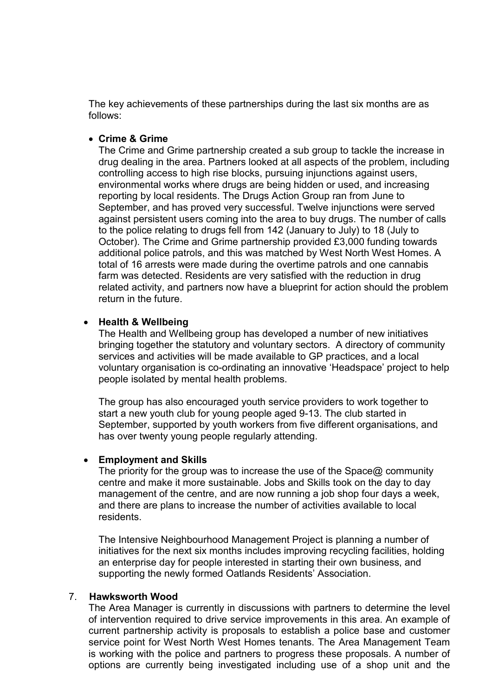The key achievements of these partnerships during the last six months are as follows:

#### • Crime & Grime

The Crime and Grime partnership created a sub group to tackle the increase in drug dealing in the area. Partners looked at all aspects of the problem, including controlling access to high rise blocks, pursuing injunctions against users, environmental works where drugs are being hidden or used, and increasing reporting by local residents. The Drugs Action Group ran from June to September, and has proved very successful. Twelve injunctions were served against persistent users coming into the area to buy drugs. The number of calls to the police relating to drugs fell from 142 (January to July) to 18 (July to October). The Crime and Grime partnership provided £3,000 funding towards additional police patrols, and this was matched by West North West Homes. A total of 16 arrests were made during the overtime patrols and one cannabis farm was detected. Residents are very satisfied with the reduction in drug related activity, and partners now have a blueprint for action should the problem return in the future.

#### • Health & Wellbeing

The Health and Wellbeing group has developed a number of new initiatives bringing together the statutory and voluntary sectors. A directory of community services and activities will be made available to GP practices, and a local voluntary organisation is co-ordinating an innovative 'Headspace' project to help people isolated by mental health problems.

The group has also encouraged youth service providers to work together to start a new youth club for young people aged 9-13. The club started in September, supported by youth workers from five different organisations, and has over twenty young people regularly attending.

#### • Employment and Skills

The priority for the group was to increase the use of the Space@ community centre and make it more sustainable. Jobs and Skills took on the day to day management of the centre, and are now running a job shop four days a week, and there are plans to increase the number of activities available to local residents.

The Intensive Neighbourhood Management Project is planning a number of initiatives for the next six months includes improving recycling facilities, holding an enterprise day for people interested in starting their own business, and supporting the newly formed Oatlands Residents' Association.

#### 7. Hawksworth Wood

The Area Manager is currently in discussions with partners to determine the level of intervention required to drive service improvements in this area. An example of current partnership activity is proposals to establish a police base and customer service point for West North West Homes tenants. The Area Management Team is working with the police and partners to progress these proposals. A number of options are currently being investigated including use of a shop unit and the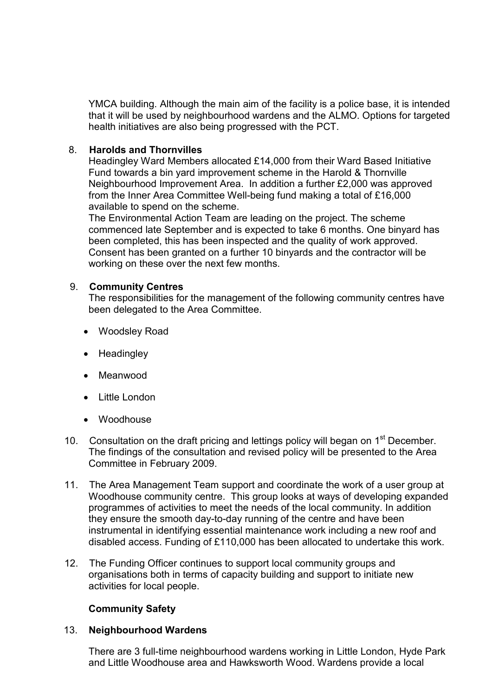YMCA building. Although the main aim of the facility is a police base, it is intended that it will be used by neighbourhood wardens and the ALMO. Options for targeted health initiatives are also being progressed with the PCT.

### 8. Harolds and Thornvilles

Headingley Ward Members allocated £14,000 from their Ward Based Initiative Fund towards a bin yard improvement scheme in the Harold & Thornville Neighbourhood Improvement Area. In addition a further £2,000 was approved from the Inner Area Committee Well-being fund making a total of £16,000 available to spend on the scheme.

The Environmental Action Team are leading on the project. The scheme commenced late September and is expected to take 6 months. One binyard has been completed, this has been inspected and the quality of work approved. Consent has been granted on a further 10 binyards and the contractor will be working on these over the next few months.

# 9. Community Centres

The responsibilities for the management of the following community centres have been delegated to the Area Committee.

- Woodsley Road
- Headingley
- Meanwood
- Little London
- Woodhouse
- 10. Consultation on the draft pricing and lettings policy will began on 1<sup>st</sup> December. The findings of the consultation and revised policy will be presented to the Area Committee in February 2009.
- 11. The Area Management Team support and coordinate the work of a user group at Woodhouse community centre. This group looks at ways of developing expanded programmes of activities to meet the needs of the local community. In addition they ensure the smooth day-to-day running of the centre and have been instrumental in identifying essential maintenance work including a new roof and disabled access. Funding of £110,000 has been allocated to undertake this work.
- 12. The Funding Officer continues to support local community groups and organisations both in terms of capacity building and support to initiate new activities for local people.

# Community Safety

# 13. Neighbourhood Wardens

 There are 3 full-time neighbourhood wardens working in Little London, Hyde Park and Little Woodhouse area and Hawksworth Wood. Wardens provide a local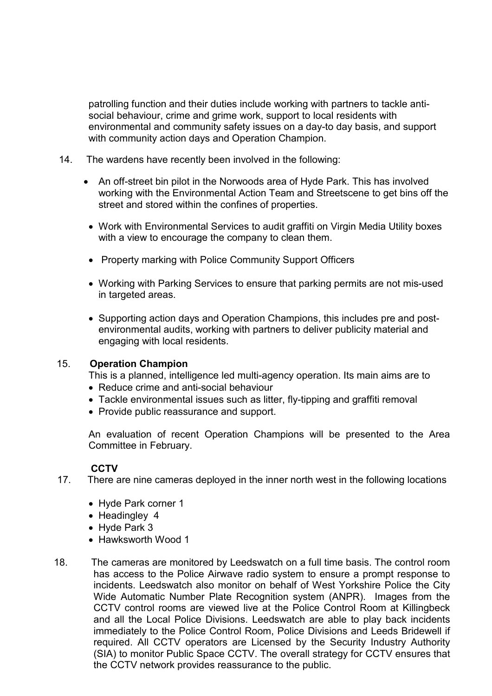patrolling function and their duties include working with partners to tackle antisocial behaviour, crime and grime work, support to local residents with environmental and community safety issues on a day-to day basis, and support with community action days and Operation Champion.

- 14. The wardens have recently been involved in the following:
	- An off-street bin pilot in the Norwoods area of Hyde Park. This has involved working with the Environmental Action Team and Streetscene to get bins off the street and stored within the confines of properties.
	- Work with Environmental Services to audit graffiti on Virgin Media Utility boxes with a view to encourage the company to clean them.
	- Property marking with Police Community Support Officers
	- Working with Parking Services to ensure that parking permits are not mis-used in targeted areas.
	- Supporting action days and Operation Champions, this includes pre and postenvironmental audits, working with partners to deliver publicity material and engaging with local residents.

#### 15. Operation Champion

This is a planned, intelligence led multi-agency operation. Its main aims are to

- Reduce crime and anti-social behaviour
- Tackle environmental issues such as litter, fly-tipping and graffiti removal
- Provide public reassurance and support.

An evaluation of recent Operation Champions will be presented to the Area Committee in February.

### **CCTV**

- 17. There are nine cameras deployed in the inner north west in the following locations
	- Hyde Park corner 1
	- Headingley 4
	- Hyde Park 3
	- Hawksworth Wood 1
- 18. The cameras are monitored by Leedswatch on a full time basis. The control room has access to the Police Airwave radio system to ensure a prompt response to incidents. Leedswatch also monitor on behalf of West Yorkshire Police the City Wide Automatic Number Plate Recognition system (ANPR). Images from the CCTV control rooms are viewed live at the Police Control Room at Killingbeck and all the Local Police Divisions. Leedswatch are able to play back incidents immediately to the Police Control Room, Police Divisions and Leeds Bridewell if required. All CCTV operators are Licensed by the Security Industry Authority (SIA) to monitor Public Space CCTV. The overall strategy for CCTV ensures that the CCTV network provides reassurance to the public.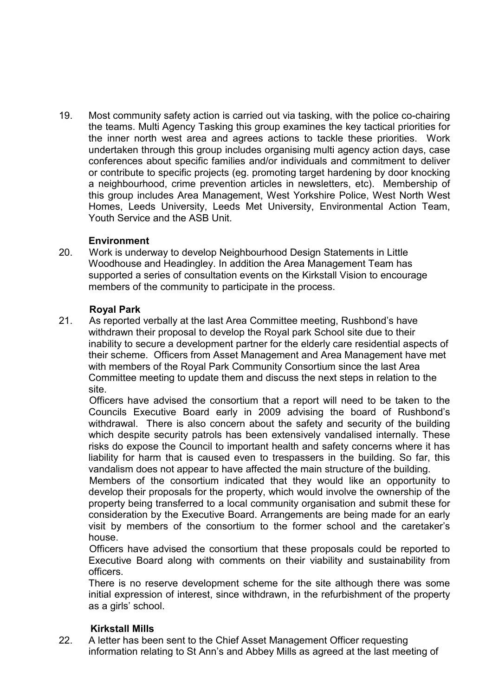19. Most community safety action is carried out via tasking, with the police co-chairing the teams. Multi Agency Tasking this group examines the key tactical priorities for the inner north west area and agrees actions to tackle these priorities. Work undertaken through this group includes organising multi agency action days, case conferences about specific families and/or individuals and commitment to deliver or contribute to specific projects (eg. promoting target hardening by door knocking a neighbourhood, crime prevention articles in newsletters, etc). Membership of this group includes Area Management, West Yorkshire Police, West North West Homes, Leeds University, Leeds Met University, Environmental Action Team, Youth Service and the ASB Unit.

# **Environment**

20. Work is underway to develop Neighbourhood Design Statements in Little Woodhouse and Headingley. In addition the Area Management Team has supported a series of consultation events on the Kirkstall Vision to encourage members of the community to participate in the process.

### Royal Park

21. As reported verbally at the last Area Committee meeting, Rushbond's have withdrawn their proposal to develop the Royal park School site due to their inability to secure a development partner for the elderly care residential aspects of their scheme. Officers from Asset Management and Area Management have met with members of the Royal Park Community Consortium since the last Area Committee meeting to update them and discuss the next steps in relation to the site.

 Officers have advised the consortium that a report will need to be taken to the Councils Executive Board early in 2009 advising the board of Rushbond's withdrawal. There is also concern about the safety and security of the building which despite security patrols has been extensively vandalised internally. These risks do expose the Council to important health and safety concerns where it has liability for harm that is caused even to trespassers in the building. So far, this vandalism does not appear to have affected the main structure of the building.

 Members of the consortium indicated that they would like an opportunity to develop their proposals for the property, which would involve the ownership of the property being transferred to a local community organisation and submit these for consideration by the Executive Board. Arrangements are being made for an early visit by members of the consortium to the former school and the caretaker's house.

 Officers have advised the consortium that these proposals could be reported to Executive Board along with comments on their viability and sustainability from officers.

There is no reserve development scheme for the site although there was some initial expression of interest, since withdrawn, in the refurbishment of the property as a girls' school.

# Kirkstall Mills

22. A letter has been sent to the Chief Asset Management Officer requesting information relating to St Ann's and Abbey Mills as agreed at the last meeting of